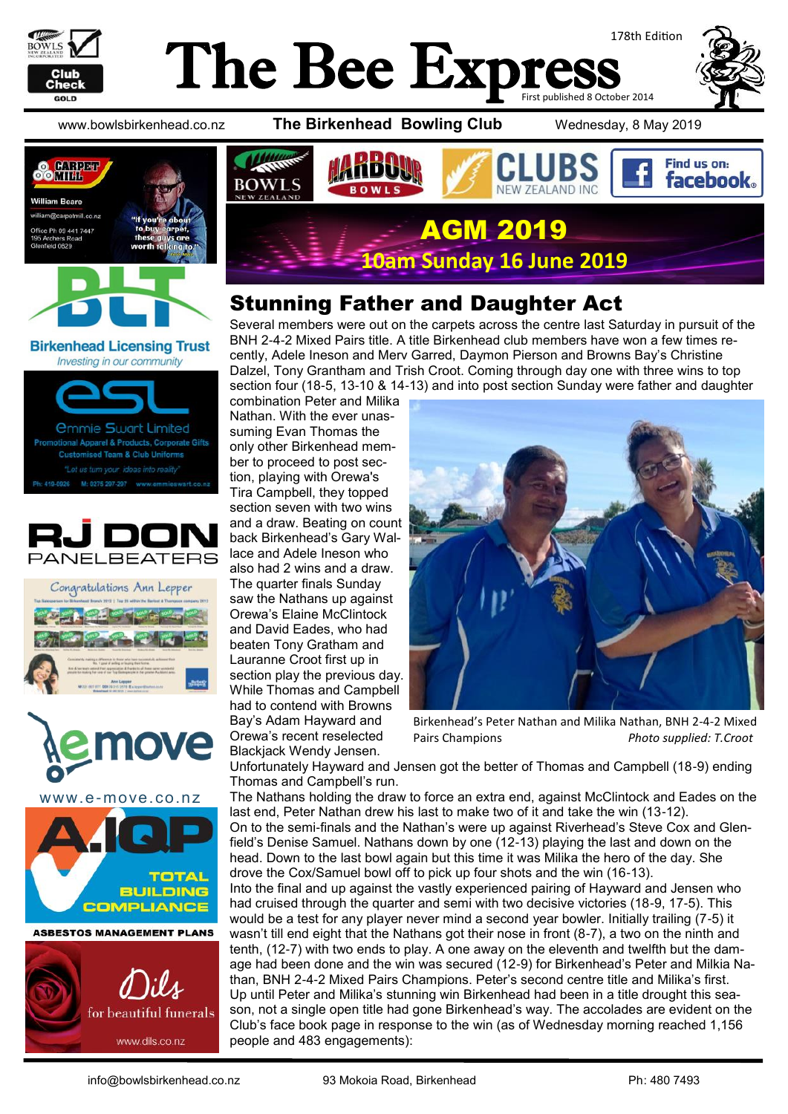

#### The Bee Expi 178th Edition First published 8 October 2014



www.bowlsbirkenhead.co.nz **The Birkenhead Bowling Club** Wednesday, 8 May 2019





#### **Birkenhead Licensing Trust** Investing in our community













**ASBESTOS MANAGEMENT PLANS** 



Find us on: **facebook BOWLS** W 7FAI AND ING AGM 2019

**10am Sunday 16 June 2019**

## Stunning Father and Daughter Act

Several members were out on the carpets across the centre last Saturday in pursuit of the BNH 2-4-2 Mixed Pairs title. A title Birkenhead club members have won a few times recently, Adele Ineson and Merv Garred, Daymon Pierson and Browns Bay's Christine Dalzel, Tony Grantham and Trish Croot. Coming through day one with three wins to top section four (18-5, 13-10 & 14-13) and into post section Sunday were father and daughter

combination Peter and Milika Nathan. With the ever unassuming Evan Thomas the only other Birkenhead member to proceed to post section, playing with Orewa's Tira Campbell, they topped section seven with two wins and a draw. Beating on count back Birkenhead's Gary Wallace and Adele Ineson who also had 2 wins and a draw. The quarter finals Sunday saw the Nathans up against Orewa's Elaine McClintock and David Eades, who had beaten Tony Gratham and Lauranne Croot first up in section play the previous day. While Thomas and Campbell had to contend with Browns Bay's Adam Hayward and Orewa's recent reselected Blackjack Wendy Jensen.



Birkenhead's Peter Nathan and Milika Nathan, BNH 2-4-2 Mixed Pairs Champions *Photo supplied: T.Croot*

Unfortunately Hayward and Jensen got the better of Thomas and Campbell (18-9) ending Thomas and Campbell's run.

The Nathans holding the draw to force an extra end, against McClintock and Eades on the last end, Peter Nathan drew his last to make two of it and take the win (13-12). On to the semi-finals and the Nathan's were up against Riverhead's Steve Cox and Glenfield's Denise Samuel. Nathans down by one (12-13) playing the last and down on the head. Down to the last bowl again but this time it was Milika the hero of the day. She drove the Cox/Samuel bowl off to pick up four shots and the win (16-13). Into the final and up against the vastly experienced pairing of Hayward and Jensen who had cruised through the quarter and semi with two decisive victories (18-9, 17-5). This would be a test for any player never mind a second year bowler. Initially trailing (7-5) it wasn't till end eight that the Nathans got their nose in front (8-7), a two on the ninth and tenth, (12-7) with two ends to play. A one away on the eleventh and twelfth but the damage had been done and the win was secured (12-9) for Birkenhead's Peter and Milkia Nathan, BNH 2-4-2 Mixed Pairs Champions. Peter's second centre title and Milika's first. Up until Peter and Milika's stunning win Birkenhead had been in a title drought this season, not a single open title had gone Birkenhead's way. The accolades are evident on the Club's face book page in response to the win (as of Wednesday morning reached 1,156 people and 483 engagements):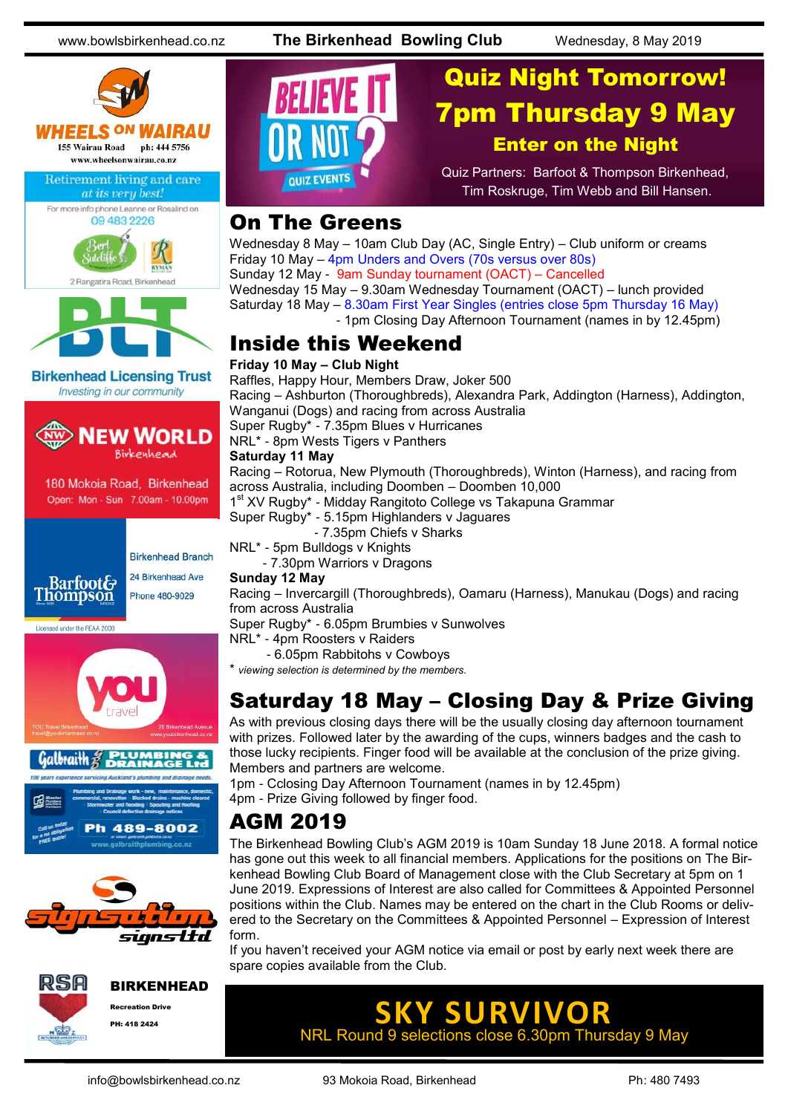www.bowlsbirkenhead.co.nz **The Birkenhead Bowling Club** Wednesday, 8 May 2019





Licensed under the REAA 2008













## Quiz Night Tomorrow! 7pm Thursday 9 May Enter on the Night

Quiz Partners: Barfoot & Thompson Birkenhead, Tim Roskruge, Tim Webb and Bill Hansen.

#### On The Greens

Wednesday 8 May – 10am Club Day (AC, Single Entry) – Club uniform or creams Friday 10 May – 4pm Unders and Overs (70s versus over 80s) Sunday 12 May - 9am Sunday tournament (OACT) – Cancelled Wednesday 15 May – 9.30am Wednesday Tournament (OACT) – lunch provided Saturday 18 May – 8.30am First Year Singles (entries close 5pm Thursday 16 May)

- 1pm Closing Day Afternoon Tournament (names in by 12.45pm)

#### Inside this Weekend

#### **Friday 10 May – Club Night**

Raffles, Happy Hour, Members Draw, Joker 500 Racing – Ashburton (Thoroughbreds), Alexandra Park, Addington (Harness), Addington, Wanganui (Dogs) and racing from across Australia Super Rugby\* - 7.35pm Blues v Hurricanes NRL\* - 8pm Wests Tigers v Panthers **Saturday 11 May**

Racing – Rotorua, New Plymouth (Thoroughbreds), Winton (Harness), and racing from across Australia, including Doomben – Doomben 10,000

1<sup>st</sup> XV Rugby\* - Midday Rangitoto College vs Takapuna Grammar

Super Rugby\* - 5.15pm Highlanders v Jaguares

- 7.35pm Chiefs v Sharks

NRL\* - 5pm Bulldogs v Knights

- 7.30pm Warriors v Dragons

#### **Sunday 12 May**

Racing – Invercargill (Thoroughbreds), Oamaru (Harness), Manukau (Dogs) and racing from across Australia

Super Rugby\* - 6.05pm Brumbies v Sunwolves

NRL\* - 4pm Roosters v Raiders

- 6.05pm Rabbitohs v Cowboys

\* *viewing selection is determined by the members.*

#### Saturday 18 May – Closing Day & Prize Giving

As with previous closing days there will be the usually closing day afternoon tournament with prizes. Followed later by the awarding of the cups, winners badges and the cash to those lucky recipients. Finger food will be available at the conclusion of the prize giving. Members and partners are welcome.

1pm - Cclosing Day Afternoon Tournament (names in by 12.45pm)

4pm - Prize Giving followed by finger food.

#### AGM 2019

The Birkenhead Bowling Club's AGM 2019 is 10am Sunday 18 June 2018. A formal notice has gone out this week to all financial members. Applications for the positions on The Birkenhead Bowling Club Board of Management close with the Club Secretary at 5pm on 1 June 2019. Expressions of Interest are also called for Committees & Appointed Personnel positions within the Club. Names may be entered on the chart in the Club Rooms or delivered to the Secretary on the Committees & Appointed Personnel – Expression of Interest form.

If you haven't received your AGM notice via email or post by early next week there are spare copies available from the Club.

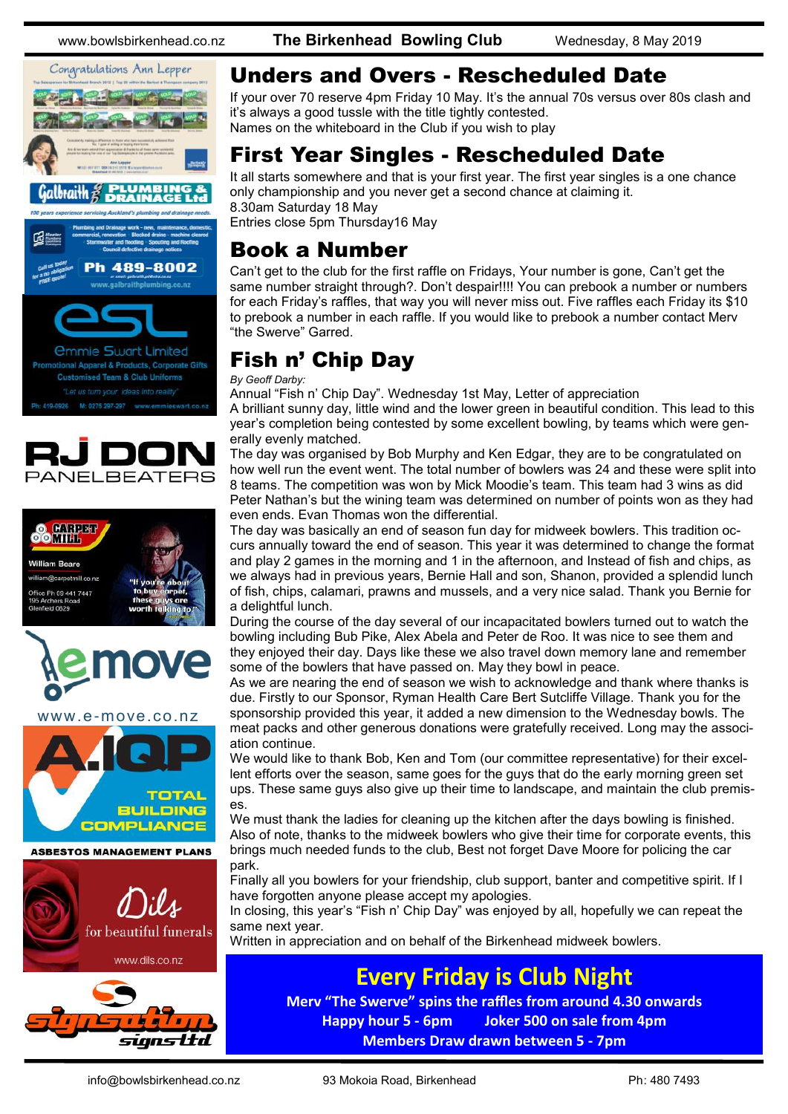Congratulations Ann Lepper braith à



.galbraithplumbing.co.nz









www.e-move.co.nz



www.dils.co.nz



www.bowlsbirkenhead.co.nz **The Birkenhead Bowling Club** Wednesday, 8 May 2019

#### Unders and Overs - Rescheduled Date

If your over 70 reserve 4pm Friday 10 May. It's the annual 70s versus over 80s clash and it's always a good tussle with the title tightly contested. Names on the whiteboard in the Club if you wish to play

## First Year Singles - Rescheduled Date

It all starts somewhere and that is your first year. The first year singles is a one chance only championship and you never get a second chance at claiming it. 8.30am Saturday 18 May

Entries close 5pm Thursday16 May

#### Book a Number

Can't get to the club for the first raffle on Fridays, Your number is gone, Can't get the same number straight through?. Don't despair!!!! You can prebook a number or numbers for each Friday's raffles, that way you will never miss out. Five raffles each Friday its \$10 to prebook a number in each raffle. If you would like to prebook a number contact Merv "the Swerve" Garred.

## Fish n' Chip Day

*By Geoff Darby:*

Annual "Fish n' Chip Day". Wednesday 1st May, Letter of appreciation

A brilliant sunny day, little wind and the lower green in beautiful condition. This lead to this year's completion being contested by some excellent bowling, by teams which were generally evenly matched.

The day was organised by Bob Murphy and Ken Edgar, they are to be congratulated on how well run the event went. The total number of bowlers was 24 and these were split into 8 teams. The competition was won by Mick Moodie's team. This team had 3 wins as did Peter Nathan's but the wining team was determined on number of points won as they had even ends. Evan Thomas won the differential.

The day was basically an end of season fun day for midweek bowlers. This tradition occurs annually toward the end of season. This year it was determined to change the format and play 2 games in the morning and 1 in the afternoon, and Instead of fish and chips, as we always had in previous years, Bernie Hall and son, Shanon, provided a splendid lunch of fish, chips, calamari, prawns and mussels, and a very nice salad. Thank you Bernie for a delightful lunch.

During the course of the day several of our incapacitated bowlers turned out to watch the bowling including Bub Pike, Alex Abela and Peter de Roo. It was nice to see them and they enjoyed their day. Days like these we also travel down memory lane and remember some of the bowlers that have passed on. May they bowl in peace.

As we are nearing the end of season we wish to acknowledge and thank where thanks is due. Firstly to our Sponsor, Ryman Health Care Bert Sutcliffe Village. Thank you for the sponsorship provided this year, it added a new dimension to the Wednesday bowls. The meat packs and other generous donations were gratefully received. Long may the association continue.

We would like to thank Bob, Ken and Tom (our committee representative) for their excellent efforts over the season, same goes for the guys that do the early morning green set ups. These same guys also give up their time to landscape, and maintain the club premises.

We must thank the ladies for cleaning up the kitchen after the days bowling is finished. Also of note, thanks to the midweek bowlers who give their time for corporate events, this brings much needed funds to the club, Best not forget Dave Moore for policing the car park.

Finally all you bowlers for your friendship, club support, banter and competitive spirit. If I have forgotten anyone please accept my apologies.

In closing, this year's "Fish n' Chip Day" was enjoyed by all, hopefully we can repeat the same next year.

Written in appreciation and on behalf of the Birkenhead midweek bowlers.

#### **Every Friday is Club Night**

**Merv "The Swerve" spins the raffles from around 4.30 onwards Happy hour 5 - 6pm Joker 500 on sale from 4pm Members Draw drawn between 5 - 7pm**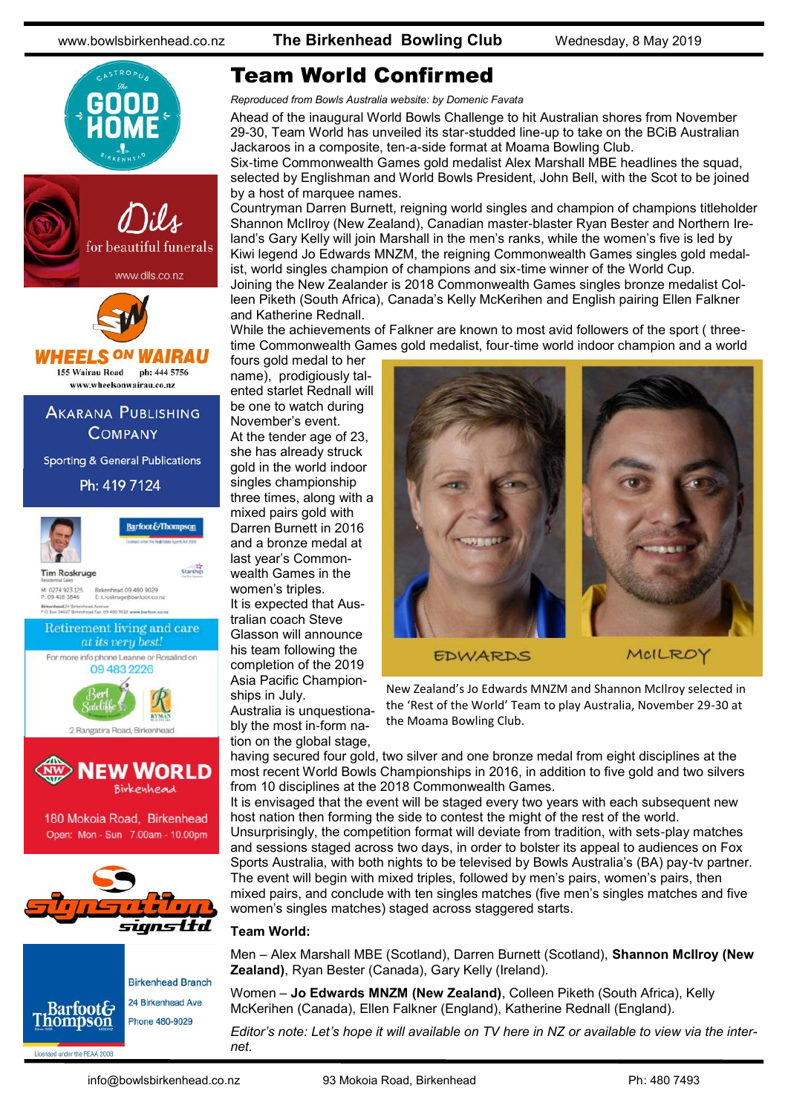

## Team World Confirmed

*Reproduced from Bowls Australia website: by Domenic Favata*

Ahead of the [inaugural World Bowls Challenge to hit Australian shores from November](https://www.bowls.com.au/new-world-bowls-challenge-event-headed-to-moama/)  [29-30,](https://www.bowls.com.au/new-world-bowls-challenge-event-headed-to-moama/) Team World has unveiled its star-studded line-up to take on the BCiB Australian Jackaroos in a composite, ten-a-side format at Moama Bowling Club.

Six-time Commonwealth Games gold medalist Alex Marshall MBE headlines the squad, selected by Englishman and World Bowls President, John Bell, with the Scot to be joined by a host of marquee names.

Countryman Darren Burnett, reigning world singles and champion of champions titleholder Shannon McIlroy (New Zealand), Canadian master-blaster Ryan Bester and Northern Ireland's Gary Kelly will join Marshall in the men's ranks, while the women's five is led by Kiwi legend Jo Edwards MNZM, the reigning Commonwealth Games singles gold medalist, world singles champion of champions and six-time winner of the World Cup.

Joining the New Zealander is 2018 Commonwealth Games singles bronze medalist Colleen Piketh (South Africa), Canada's Kelly McKerihen and English pairing Ellen Falkner and Katherine Rednall.

While the achievements of Falkner are known to most avid followers of the sport (threetime Commonwealth Games gold medalist, four-time world indoor champion and a world

fours gold medal to her name), prodigiously talented starlet Rednall will be one to watch during November's event. At the tender age of 23, she has already struck gold in the world indoor singles championship three times, along with a mixed pairs gold with Darren Burnett in 2016 and a bronze medal at last year's Commonwealth Games in the women's triples. It is expected that Australian coach Steve Glasson will announce his team following the completion of the 2019 Asia Pacific Championships in July.

Australia is unquestionably the most in-form nation on the global stage,



New Zealand's Jo Edwards MNZM and Shannon McIlroy selected in the 'Rest of the World' Team to play Australia, November 29-30 at the Moama Bowling Club.

having secured four gold, two silver and one bronze medal from eight disciplines at the most recent World Bowls Championships in 2016, in addition to five gold and two silvers from 10 disciplines at the 2018 Commonwealth Games.

It is envisaged that the event will be staged every two years with each subsequent new host nation then forming the side to contest the might of the rest of the world. Unsurprisingly, the competition format will deviate from tradition, with sets-play matches and sessions staged across two days, in order to bolster its appeal to audiences on Fox Sports Australia, with both nights to be televised by Bowls Australia's (BA) pay-tv partner. The event will begin with mixed triples, followed by men's pairs, women's pairs, then mixed pairs, and conclude with ten singles matches (five men's singles matches and five women's singles matches) staged across staggered starts.

#### **Team World:**

Men – Alex Marshall MBE (Scotland), Darren Burnett (Scotland), **Shannon McIlroy (New Zealand)**, Ryan Bester (Canada), Gary Kelly (Ireland).

Women – **Jo Edwards MNZM (New Zealand)**, Colleen Piketh (South Africa), Kelly McKerihen (Canada), Ellen Falkner (England), Katherine Rednall (England).

*Editor's note: Let's hope it will available on TV here in NZ or available to view via the internet.*

Licensed under the REAA 2008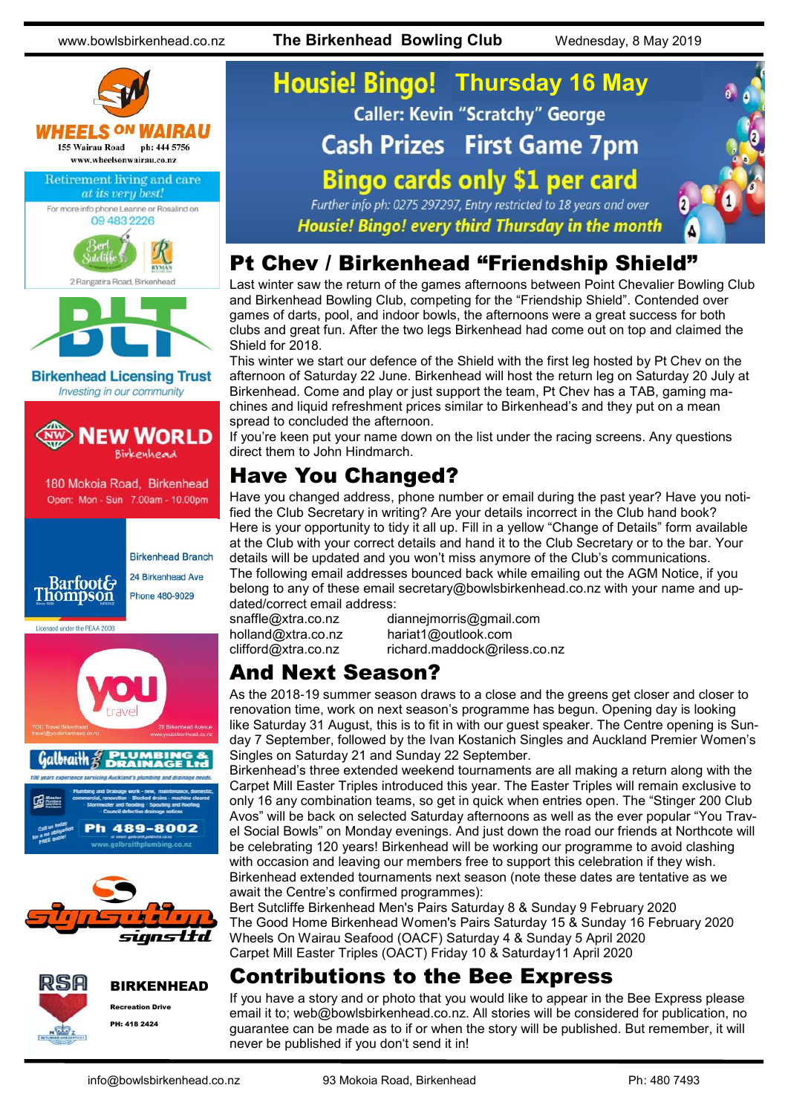www.bowlsbirkenhead.co.nz **The Birkenhead Bowling Club** Wednesday, 8 May 2019



# **Housie! Bingo! Thursday 16 May Caller: Kevin "Scratchy" George Cash Prizes First Game 7pm Bingo cards only \$1 per card**



Further info ph: 0275 297297, Entry restricted to 18 years and over Housie! Bingo! every third Thursday in the month

#### Pt Chev / Birkenhead "Friendship Shield"

Last winter saw the return of the games afternoons between Point Chevalier Bowling Club and Birkenhead Bowling Club, competing for the "Friendship Shield". Contended over games of darts, pool, and indoor bowls, the afternoons were a great success for both clubs and great fun. After the two legs Birkenhead had come out on top and claimed the Shield for 2018.

This winter we start our defence of the Shield with the first leg hosted by Pt Chev on the afternoon of Saturday 22 June. Birkenhead will host the return leg on Saturday 20 July at Birkenhead. Come and play or just support the team, Pt Chev has a TAB, gaming machines and liquid refreshment prices similar to Birkenhead's and they put on a mean spread to concluded the afternoon.

If you're keen put your name down on the list under the racing screens. Any questions direct them to John Hindmarch.

## Have You Changed?

Have you changed address, phone number or email during the past year? Have you notified the Club Secretary in writing? Are your details incorrect in the Club hand book? Here is your opportunity to tidy it all up. Fill in a yellow "Change of Details" form available at the Club with your correct details and hand it to the Club Secretary or to the bar. Your details will be updated and you won't miss anymore of the Club's communications. The following email addresses bounced back while emailing out the AGM Notice, if you belong to any of these email [secretary@bowlsbirkenhead.co.nz w](mailto:secretary@bowlsbirkenhead.co.nz)ith your name and updated/correct email address:

snaffle@xtra.co.nz [diannejmorris@gmail.com](mailto:diannejmorris@gmail.com) [holland@xtra.co.nz](mailto:holland@xtra.co.nz) [hariat1@outlook.com](mailto:hariat1@outlook.com) [clifford@xtra.co.nz](mailto:clifford@xtra.co.nz) richard.maddock@riless.co.nz

#### And Next Season?

As the 2018-19 summer season draws to a close and the greens get closer and closer to renovation time, work on next season's programme has begun. Opening day is looking like Saturday 31 August, this is to fit in with our guest speaker. The Centre opening is Sunday 7 September, followed by the Ivan Kostanich Singles and Auckland Premier Women's Singles on Saturday 21 and Sunday 22 September.

Birkenhead's three extended weekend tournaments are all making a return along with the Carpet Mill Easter Triples introduced this year. The Easter Triples will remain exclusive to only 16 any combination teams, so get in quick when entries open. The "Stinger 200 Club Avos" will be back on selected Saturday afternoons as well as the ever popular "You Travel Social Bowls" on Monday evenings. And just down the road our friends at Northcote will be celebrating 120 years! Birkenhead will be working our programme to avoid clashing with occasion and leaving our members free to support this celebration if they wish. Birkenhead extended tournaments next season (note these dates are tentative as we await the Centre's confirmed programmes):

Bert Sutcliffe Birkenhead Men's Pairs Saturday 8 & Sunday 9 February 2020 The Good Home Birkenhead Women's Pairs Saturday 15 & Sunday 16 February 2020 Wheels On Wairau Seafood (OACF) Saturday 4 & Sunday 5 April 2020 Carpet Mill Easter Triples (OACT) Friday 10 & Saturday11 April 2020

#### Contributions to the Bee Express

If you have a story and or photo that you would like to appear in the Bee Express please email it to; web@bowlsbirkenhead.co.nz. All stories will be considered for publication, no guarantee can be made as to if or when the story will be published. But remember, it will never be published if you don't send it in!